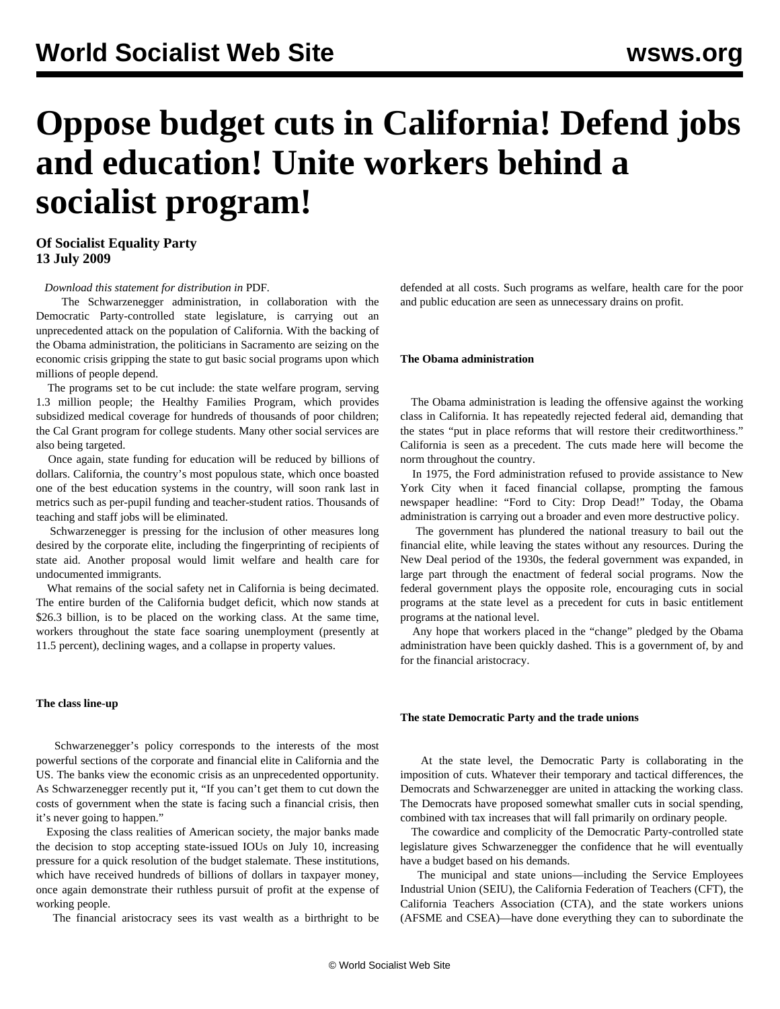# **Oppose budget cuts in California! Defend jobs and education! Unite workers behind a socialist program!**

## **Of Socialist Equality Party 13 July 2009**

#### *Download this statement for distribution in* PDF*.*

 The Schwarzenegger administration, in collaboration with the Democratic Party-controlled state legislature, is carrying out an unprecedented attack on the population of California. With the backing of the Obama administration, the politicians in Sacramento are seizing on the economic crisis gripping the state to gut basic social programs upon which millions of people depend.

 The programs set to be cut include: the state welfare program, serving 1.3 million people; the Healthy Families Program, which provides subsidized medical coverage for hundreds of thousands of poor children; the Cal Grant program for college students. Many other social services are also being targeted.

 Once again, state funding for education will be reduced by billions of dollars. California, the country's most populous state, which once boasted one of the best education systems in the country, will soon rank last in metrics such as per-pupil funding and teacher-student ratios. Thousands of teaching and staff jobs will be eliminated.

 Schwarzenegger is pressing for the inclusion of other measures long desired by the corporate elite, including the fingerprinting of recipients of state aid. Another proposal would limit welfare and health care for undocumented immigrants.

 What remains of the social safety net in California is being decimated. The entire burden of the California budget deficit, which now stands at \$26.3 billion, is to be placed on the working class. At the same time, workers throughout the state face soaring unemployment (presently at 11.5 percent), declining wages, and a collapse in property values.

#### **The class line-up**

 Schwarzenegger's policy corresponds to the interests of the most powerful sections of the corporate and financial elite in California and the US. The banks view the economic crisis as an unprecedented opportunity. As Schwarzenegger recently put it, "If you can't get them to cut down the costs of government when the state is facing such a financial crisis, then it's never going to happen."

 Exposing the class realities of American society, the major banks made the decision to stop accepting state-issued IOUs on July 10, increasing pressure for a quick resolution of the budget stalemate. These institutions, which have received hundreds of billions of dollars in taxpayer money, once again demonstrate their ruthless pursuit of profit at the expense of working people.

The financial aristocracy sees its vast wealth as a birthright to be

defended at all costs. Such programs as welfare, health care for the poor and public education are seen as unnecessary drains on profit.

#### **The Obama administration**

 The Obama administration is leading the offensive against the working class in California. It has repeatedly rejected federal aid, demanding that the states "put in place reforms that will restore their creditworthiness." California is seen as a precedent. The cuts made here will become the norm throughout the country.

 In 1975, the Ford administration refused to provide assistance to New York City when it faced financial collapse, prompting the famous newspaper headline: "Ford to City: Drop Dead!" Today, the Obama administration is carrying out a broader and even more destructive policy.

 The government has plundered the national treasury to bail out the financial elite, while leaving the states without any resources. During the New Deal period of the 1930s, the federal government was expanded, in large part through the enactment of federal social programs. Now the federal government plays the opposite role, encouraging cuts in social programs at the state level as a precedent for cuts in basic entitlement programs at the national level.

 Any hope that workers placed in the "change" pledged by the Obama administration have been quickly dashed. This is a government of, by and for the financial aristocracy.

#### **The state Democratic Party and the trade unions**

 At the state level, the Democratic Party is collaborating in the imposition of cuts. Whatever their temporary and tactical differences, the Democrats and Schwarzenegger are united in attacking the working class. The Democrats have proposed somewhat smaller cuts in social spending, combined with tax increases that will fall primarily on ordinary people.

 The cowardice and complicity of the Democratic Party-controlled state legislature gives Schwarzenegger the confidence that he will eventually have a budget based on his demands.

 The municipal and state unions—including the Service Employees Industrial Union (SEIU), the California Federation of Teachers (CFT), the California Teachers Association (CTA), and the state workers unions (AFSME and CSEA)—have done everything they can to subordinate the